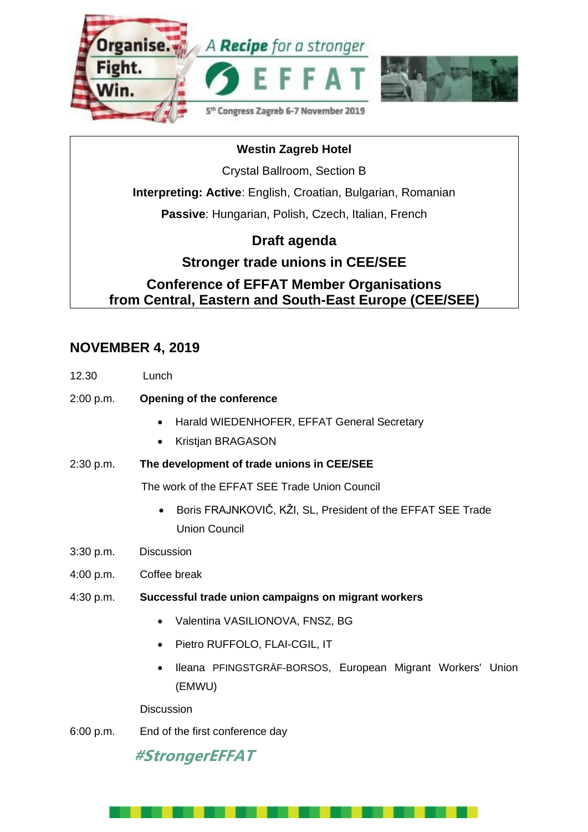

# **Westin Zagreb Hotel** Crystal Ballroom, Section B **Interpreting: Active**: English, Croatian, Bulgarian, Romanian **Passive**: Hungarian, Polish, Czech, Italian, French **Draft agenda Stronger trade unions in CEE/SEE Conference of EFFAT Member Organisations from Central, Eastern and South-East Europe (CEE/SEE) Stronger trade unions in**

### **NOVEMBER 4, 2019**

| 12.30     | Lunch                                                                               |
|-----------|-------------------------------------------------------------------------------------|
| 2:00 p.m. | <b>Opening of the conference</b>                                                    |
|           | Harald WIEDENHOFER, EFFAT General Secretary<br>$\bullet$                            |
|           | Kristjan BRAGASON<br>$\bullet$                                                      |
| 2:30 p.m. | The development of trade unions in CEE/SEE                                          |
|           | The work of the EFFAT SEE Trade Union Council                                       |
|           | Boris FRAJNKOVIČ, KŽI, SL, President of the EFFAT SEE Trade<br><b>Union Council</b> |
| 3:30 p.m. | <b>Discussion</b>                                                                   |
| 4:00 p.m. | Coffee break                                                                        |
| 4:30 p.m. | Successful trade union campaigns on migrant workers                                 |
|           | Valentina VASILIONOVA, FNSZ, BG                                                     |
|           | Pietro RUFFOLO, FLAI-CGIL, IT                                                       |
|           | Ileana PFINGSTGRÄF-BORSOS, European Migrant Workers' Union<br>(EMWU)                |
|           | <b>Discussion</b>                                                                   |

6:00 p.m. End of the first conference day

## **#StrongerEFFAT**